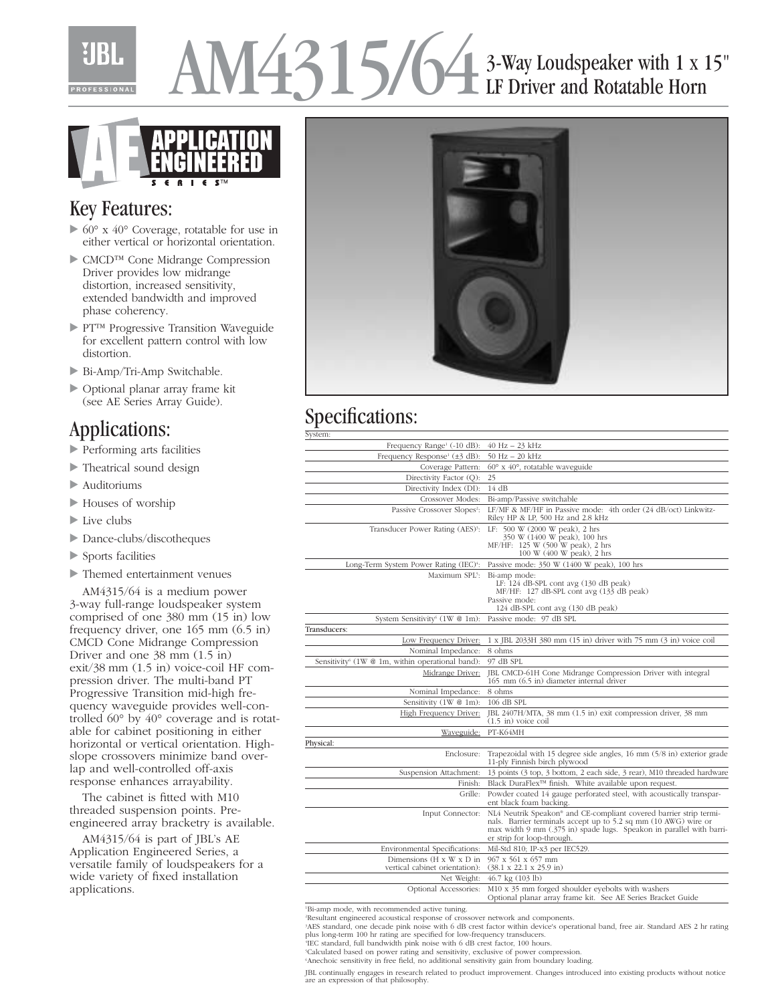## AM4315/64 3-Way Loudspeaker with 1 x 15" LF Driver and Rotatable Horn



## Key Features:

- 60° x 40° Coverage, rotatable for use in either vertical or horizontal orientation.
- CMCD™ Cone Midrange Compression Driver provides low midrange distortion, increased sensitivity, extended bandwidth and improved phase coherency.
- ▶ PT™ Progressive Transition Waveguide for excellent pattern control with low distortion.
- Bi-Amp/Tri-Amp Switchable.
- Optional planar array frame kit (see AE Series Array Guide).

## Applications:

- Performing arts facilities
- Theatrical sound design
- Auditoriums
- Houses of worship
- $\blacktriangleright$  Live clubs
- Dance-clubs/discotheques
- Sports facilities
- Themed entertainment venues

AM4315/64 is a medium power 3-way full-range loudspeaker system comprised of one 380 mm (15 in) low frequency driver, one 165 mm (6.5 in) CMCD Cone Midrange Compression Driver and one 38 mm (1.5 in) exit/38 mm (1.5 in) voice-coil HF compression driver. The multi-band PT Progressive Transition mid-high frequency waveguide provides well-controlled 60° by 40° coverage and is rotatable for cabinet positioning in either horizontal or vertical orientation. Highslope crossovers minimize band overlap and well-controlled off-axis response enhances arrayability.

The cabinet is fitted with M10 threaded suspension points. Preengineered array bracketry is available.

AM4315/64 is part of JBL's AE Application Engineered Series, a versatile family of loudspeakers for a wide variety of fixed installation applications.



## Specifications:

| System:                                                                 |                                                                                                                                                                                                                                             |
|-------------------------------------------------------------------------|---------------------------------------------------------------------------------------------------------------------------------------------------------------------------------------------------------------------------------------------|
| Frequency Range <sup>1</sup> (-10 dB):                                  | $40$ Hz $- 23$ kHz                                                                                                                                                                                                                          |
| Frequency Response <sup>1</sup> ( $\pm$ 3 dB):                          | $50$ Hz $-$ 20 kHz                                                                                                                                                                                                                          |
| Coverage Pattern:                                                       | $60^{\circ}$ x $40^{\circ}$ , rotatable waveguide                                                                                                                                                                                           |
| Directivity Factor (Q):                                                 | 25                                                                                                                                                                                                                                          |
| Directivity Index (DI):                                                 | 14 dB                                                                                                                                                                                                                                       |
| Crossover Modes:                                                        | Bi-amp/Passive switchable                                                                                                                                                                                                                   |
| Passive Crossover Slopes <sup>2</sup> :                                 | LF/MF & MF/HF in Passive mode: 4th order (24 dB/oct) Linkwitz-<br>Riley HP & LP, 500 Hz and 2.8 kHz                                                                                                                                         |
| Transducer Power Rating (AES) <sup>3</sup> :                            | LF: 500 W (2000 W peak), 2 hrs<br>350 W (1400 W peak), 100 hrs<br>MF/HF: 125 W (500 W peak), 2 hrs<br>100 W (400 W peak), 2 hrs                                                                                                             |
| Long-Term System Power Rating (IEC) <sup>4</sup> :                      | Passive mode: 350 W (1400 W peak), 100 hrs                                                                                                                                                                                                  |
| Maximum SPL5:                                                           | Bi-amp mode:<br>LF: 124 dB-SPL cont avg (130 dB peak)<br>MF/HF: 127 dB-SPL cont avg (133 dB peak)<br>Passive mode:<br>124 dB-SPL cont avg (130 dB peak)                                                                                     |
| System Sensitivity <sup>6</sup> (1W $@$ 1m):                            | Passive mode: 97 dB SPL                                                                                                                                                                                                                     |
| Transducers:                                                            |                                                                                                                                                                                                                                             |
| Low Frequency Driver:                                                   | 1 x JBL 2033H 380 mm (15 in) driver with 75 mm (3 in) voice coil                                                                                                                                                                            |
| Nominal Impedance:                                                      | 8 ohms                                                                                                                                                                                                                                      |
| Sensitivity <sup>6</sup> (1W @ 1m, within operational band):            | 97 dB SPL                                                                                                                                                                                                                                   |
| Midrange Driver:                                                        | JBL CMCD-61H Cone Midrange Compression Driver with integral<br>165 mm (6.5 in) diameter internal driver                                                                                                                                     |
| Nominal Impedance:                                                      | 8 ohms                                                                                                                                                                                                                                      |
| Sensitivity (1W @ 1m):                                                  | 106 dB SPL                                                                                                                                                                                                                                  |
| High Frequency Driver:                                                  | JBL 2407H/MTA, 38 mm (1.5 in) exit compression driver, 38 mm<br>$(1.5$ in) voice coil                                                                                                                                                       |
| Waveguide:                                                              | PT-K64MH                                                                                                                                                                                                                                    |
| Physical:                                                               |                                                                                                                                                                                                                                             |
| Enclosure:                                                              | Trapezoidal with 15 degree side angles, 16 mm (5/8 in) exterior grade<br>11-ply Finnish birch plywood                                                                                                                                       |
| Suspension Attachment:                                                  | 13 points (3 top, 3 bottom, 2 each side, 3 rear), M10 threaded hardware                                                                                                                                                                     |
| Finish:                                                                 | Black DuraFlex™ finish. White available upon request.                                                                                                                                                                                       |
| Grille:                                                                 | Powder coated 14 gauge perforated steel, with acoustically transpar-<br>ent black foam backing.                                                                                                                                             |
| Input Connector:                                                        | NL4 Neutrik Speakon® and CE-compliant covered barrier strip termi-<br>nals. Barrier terminals accept up to 5.2 sq mm (10 AWG) wire or<br>max width 9 mm (.375 in) spade lugs. Speakon in parallel with barri-<br>er strip for loop-through. |
| Environmental Specifications:                                           | Mil-Std 810; IP-x3 per IEC529.                                                                                                                                                                                                              |
| Dimensions $(H \times W \times D)$ in<br>vertical cabinet orientation): | $967 \times 561 \times 657$ mm<br>$(38.1 \times 22.1 \times 25.9 \text{ in})$                                                                                                                                                               |
| Net Weight:                                                             | 46.7 kg (103 lb)                                                                                                                                                                                                                            |
| Optional Accessories:                                                   | M10 x 35 mm forged shoulder eyebolts with washers<br>Optional planar array frame kit. See AE Series Bracket Guide                                                                                                                           |

1 Bi-amp mode, with recommended active tuning.

"Resultant engineered acoustical response of crossover network and components.<br>"AES standard, one decade pink noise with 6 dB crest factor within device's operational band, free air. Standard AES 2 hr rating<br>plus long-term

4 IEC standard, full bandwidth pink noise with 6 dB crest factor, 100 hours.

5 Calculated based on power rating and sensitivity, exclusive of power compression.

6 Anechoic sensitivity in free field, no additional sensitivity gain from boundary loading.

JBL continually engages in research related to product improvement. Changes introduced into existing products without notice are an expression of that philosophy.